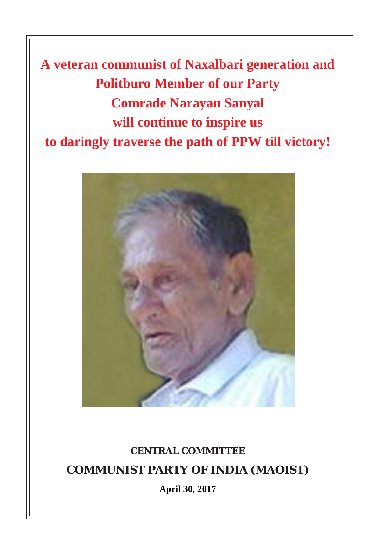**A veteran communist of Naxalbari generation and Politburo Member of our Party Comrade Narayan Sanyal will continue to inspire us to daringly traverse the path of PPW till victory!**



## **CENTRAL COMMITTEE COMMUNIST PARTY OF INDIA (MAOIST)**

**April 30, 2017**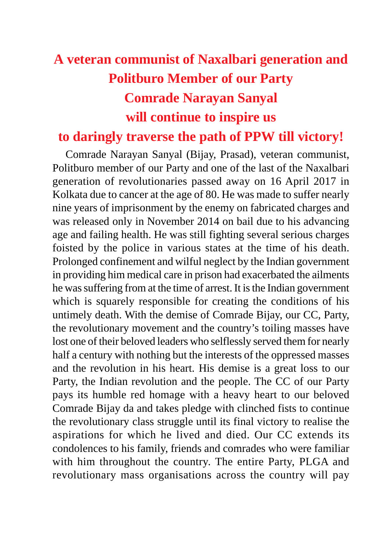## **A veteran communist of Naxalbari generation and Politburo Member of our Party Comrade Narayan Sanyal will continue to inspire us**

## **to daringly traverse the path of PPW till victory!**

Comrade Narayan Sanyal (Bijay, Prasad), veteran communist, Politburo member of our Party and one of the last of the Naxalbari generation of revolutionaries passed away on 16 April 2017 in Kolkata due to cancer at the age of 80. He was made to suffer nearly nine years of imprisonment by the enemy on fabricated charges and was released only in November 2014 on bail due to his advancing age and failing health. He was still fighting several serious charges foisted by the police in various states at the time of his death. Prolonged confinement and wilful neglect by the Indian government in providing him medical care in prison had exacerbated the ailments he was suffering from at the time of arrest. It is the Indian government which is squarely responsible for creating the conditions of his untimely death. With the demise of Comrade Bijay, our CC, Party, the revolutionary movement and the country's toiling masses have lost one of their beloved leaders who selflessly served them for nearly half a century with nothing but the interests of the oppressed masses and the revolution in his heart. His demise is a great loss to our Party, the Indian revolution and the people. The CC of our Party pays its humble red homage with a heavy heart to our beloved Comrade Bijay da and takes pledge with clinched fists to continue the revolutionary class struggle until its final victory to realise the aspirations for which he lived and died. Our CC extends its condolences to his family, friends and comrades who were familiar with him throughout the country. The entire Party, PLGA and revolutionary mass organisations across the country will pay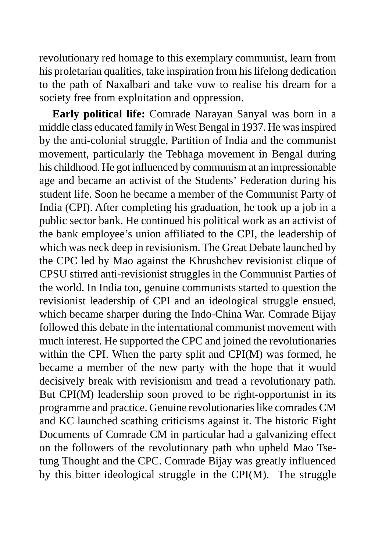revolutionary red homage to this exemplary communist, learn from his proletarian qualities, take inspiration from his lifelong dedication to the path of Naxalbari and take vow to realise his dream for a society free from exploitation and oppression.

**Early political life:** Comrade Narayan Sanyal was born in a middle class educated family in West Bengal in 1937. He was inspired by the anti-colonial struggle, Partition of India and the communist movement, particularly the Tebhaga movement in Bengal during his childhood. He got influenced by communism at an impressionable age and became an activist of the Students' Federation during his student life. Soon he became a member of the Communist Party of India (CPI). After completing his graduation, he took up a job in a public sector bank. He continued his political work as an activist of the bank employee's union affiliated to the CPI, the leadership of which was neck deep in revisionism. The Great Debate launched by the CPC led by Mao against the Khrushchev revisionist clique of CPSU stirred anti-revisionist struggles in the Communist Parties of the world. In India too, genuine communists started to question the revisionist leadership of CPI and an ideological struggle ensued, which became sharper during the Indo-China War. Comrade Bijay followed this debate in the international communist movement with much interest. He supported the CPC and joined the revolutionaries within the CPI. When the party split and CPI(M) was formed, he became a member of the new party with the hope that it would decisively break with revisionism and tread a revolutionary path. But CPI(M) leadership soon proved to be right-opportunist in its programme and practice. Genuine revolutionaries like comrades CM and KC launched scathing criticisms against it. The historic Eight Documents of Comrade CM in particular had a galvanizing effect on the followers of the revolutionary path who upheld Mao Tsetung Thought and the CPC. Comrade Bijay was greatly influenced by this bitter ideological struggle in the CPI(M). The struggle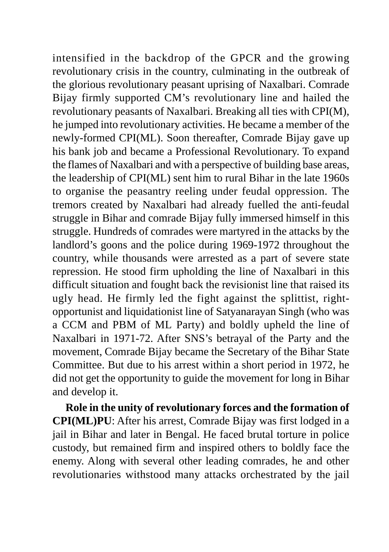intensified in the backdrop of the GPCR and the growing revolutionary crisis in the country, culminating in the outbreak of the glorious revolutionary peasant uprising of Naxalbari. Comrade Bijay firmly supported CM's revolutionary line and hailed the revolutionary peasants of Naxalbari. Breaking all ties with CPI(M), he jumped into revolutionary activities. He became a member of the newly-formed CPI(ML). Soon thereafter, Comrade Bijay gave up his bank job and became a Professional Revolutionary. To expand the flames of Naxalbari and with a perspective of building base areas, the leadership of CPI(ML) sent him to rural Bihar in the late 1960s to organise the peasantry reeling under feudal oppression. The tremors created by Naxalbari had already fuelled the anti-feudal struggle in Bihar and comrade Bijay fully immersed himself in this struggle. Hundreds of comrades were martyred in the attacks by the landlord's goons and the police during 1969-1972 throughout the country, while thousands were arrested as a part of severe state repression. He stood firm upholding the line of Naxalbari in this difficult situation and fought back the revisionist line that raised its ugly head. He firmly led the fight against the splittist, rightopportunist and liquidationist line of Satyanarayan Singh (who was a CCM and PBM of ML Party) and boldly upheld the line of Naxalbari in 1971-72. After SNS's betrayal of the Party and the movement, Comrade Bijay became the Secretary of the Bihar State Committee. But due to his arrest within a short period in 1972, he did not get the opportunity to guide the movement for long in Bihar and develop it.

**Role in the unity of revolutionary forces and the formation of CPI(ML)PU**: After his arrest, Comrade Bijay was first lodged in a jail in Bihar and later in Bengal. He faced brutal torture in police custody, but remained firm and inspired others to boldly face the enemy. Along with several other leading comrades, he and other revolutionaries withstood many attacks orchestrated by the jail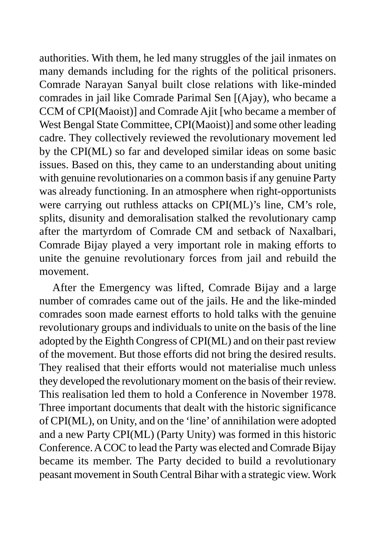authorities. With them, he led many struggles of the jail inmates on many demands including for the rights of the political prisoners. Comrade Narayan Sanyal built close relations with like-minded comrades in jail like Comrade Parimal Sen [(Ajay), who became a CCM of CPI(Maoist)] and Comrade Ajit [who became a member of West Bengal State Committee, CPI(Maoist)] and some other leading cadre. They collectively reviewed the revolutionary movement led by the CPI(ML) so far and developed similar ideas on some basic issues. Based on this, they came to an understanding about uniting with genuine revolutionaries on a common basis if any genuine Party was already functioning. In an atmosphere when right-opportunists were carrying out ruthless attacks on CPI(ML)'s line, CM's role, splits, disunity and demoralisation stalked the revolutionary camp after the martyrdom of Comrade CM and setback of Naxalbari, Comrade Bijay played a very important role in making efforts to unite the genuine revolutionary forces from jail and rebuild the movement.

After the Emergency was lifted, Comrade Bijay and a large number of comrades came out of the jails. He and the like-minded comrades soon made earnest efforts to hold talks with the genuine revolutionary groups and individuals to unite on the basis of the line adopted by the Eighth Congress of CPI(ML) and on their past review of the movement. But those efforts did not bring the desired results. They realised that their efforts would not materialise much unless they developed the revolutionary moment on the basis of their review. This realisation led them to hold a Conference in November 1978. Three important documents that dealt with the historic significance of CPI(ML), on Unity, and on the 'line' of annihilation were adopted and a new Party CPI(ML) (Party Unity) was formed in this historic Conference. A COC to lead the Party was elected and Comrade Bijay became its member. The Party decided to build a revolutionary peasant movement in South Central Bihar with a strategic view. Work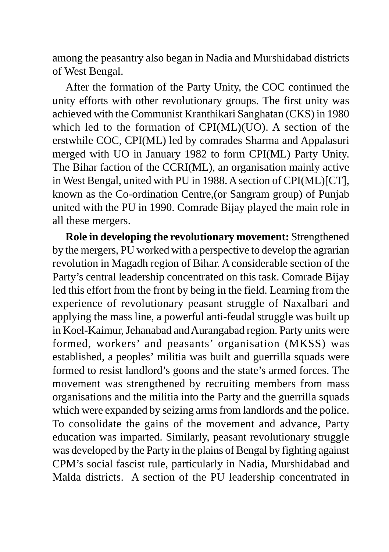among the peasantry also began in Nadia and Murshidabad districts of West Bengal.

After the formation of the Party Unity, the COC continued the unity efforts with other revolutionary groups. The first unity was achieved with the Communist Kranthikari Sanghatan (CKS) in 1980 which led to the formation of CPI(ML)(UO). A section of the erstwhile COC, CPI(ML) led by comrades Sharma and Appalasuri merged with UO in January 1982 to form CPI(ML) Party Unity. The Bihar faction of the CCRI(ML), an organisation mainly active in West Bengal, united with PU in 1988. A section of CPI(ML)[CT], known as the Co-ordination Centre,(or Sangram group) of Punjab united with the PU in 1990. Comrade Bijay played the main role in all these mergers.

**Role in developing the revolutionary movement:** Strengthened by the mergers, PU worked with a perspective to develop the agrarian revolution in Magadh region of Bihar. A considerable section of the Party's central leadership concentrated on this task. Comrade Bijay led this effort from the front by being in the field. Learning from the experience of revolutionary peasant struggle of Naxalbari and applying the mass line, a powerful anti-feudal struggle was built up in Koel-Kaimur, Jehanabad and Aurangabad region. Party units were formed, workers' and peasants' organisation (MKSS) was established, a peoples' militia was built and guerrilla squads were formed to resist landlord's goons and the state's armed forces. The movement was strengthened by recruiting members from mass organisations and the militia into the Party and the guerrilla squads which were expanded by seizing arms from landlords and the police. To consolidate the gains of the movement and advance, Party education was imparted. Similarly, peasant revolutionary struggle was developed by the Party in the plains of Bengal by fighting against CPM's social fascist rule, particularly in Nadia, Murshidabad and Malda districts. A section of the PU leadership concentrated in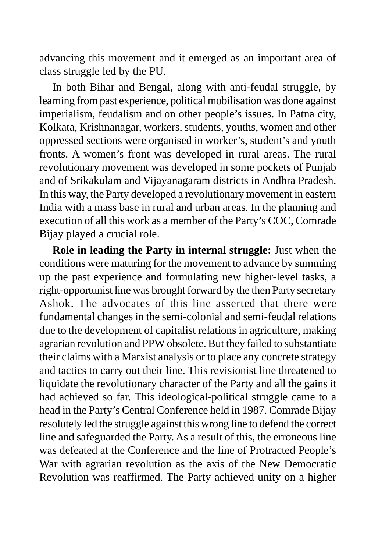advancing this movement and it emerged as an important area of class struggle led by the PU.

In both Bihar and Bengal, along with anti-feudal struggle, by learning from past experience, political mobilisation was done against imperialism, feudalism and on other people's issues. In Patna city, Kolkata, Krishnanagar, workers, students, youths, women and other oppressed sections were organised in worker's, student's and youth fronts. A women's front was developed in rural areas. The rural revolutionary movement was developed in some pockets of Punjab and of Srikakulam and Vijayanagaram districts in Andhra Pradesh. In this way, the Party developed a revolutionary movement in eastern India with a mass base in rural and urban areas. In the planning and execution of all this work as a member of the Party's COC, Comrade Bijay played a crucial role.

**Role in leading the Party in internal struggle:** Just when the conditions were maturing for the movement to advance by summing up the past experience and formulating new higher-level tasks, a right-opportunist line was brought forward by the then Party secretary Ashok. The advocates of this line asserted that there were fundamental changes in the semi-colonial and semi-feudal relations due to the development of capitalist relations in agriculture, making agrarian revolution and PPW obsolete. But they failed to substantiate their claims with a Marxist analysis or to place any concrete strategy and tactics to carry out their line. This revisionist line threatened to liquidate the revolutionary character of the Party and all the gains it had achieved so far. This ideological-political struggle came to a head in the Party's Central Conference held in 1987. Comrade Bijay resolutely led the struggle against this wrong line to defend the correct line and safeguarded the Party. As a result of this, the erroneous line was defeated at the Conference and the line of Protracted People's War with agrarian revolution as the axis of the New Democratic Revolution was reaffirmed. The Party achieved unity on a higher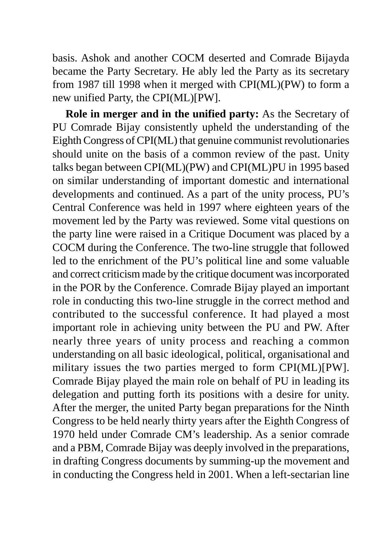basis. Ashok and another COCM deserted and Comrade Bijayda became the Party Secretary. He ably led the Party as its secretary from 1987 till 1998 when it merged with CPI(ML)(PW) to form a new unified Party, the CPI(ML)[PW].

**Role in merger and in the unified party:** As the Secretary of PU Comrade Bijay consistently upheld the understanding of the Eighth Congress of CPI(ML) that genuine communist revolutionaries should unite on the basis of a common review of the past. Unity talks began between CPI(ML)(PW) and CPI(ML)PU in 1995 based on similar understanding of important domestic and international developments and continued. As a part of the unity process, PU's Central Conference was held in 1997 where eighteen years of the movement led by the Party was reviewed. Some vital questions on the party line were raised in a Critique Document was placed by a COCM during the Conference. The two-line struggle that followed led to the enrichment of the PU's political line and some valuable and correct criticism made by the critique document was incorporated in the POR by the Conference. Comrade Bijay played an important role in conducting this two-line struggle in the correct method and contributed to the successful conference. It had played a most important role in achieving unity between the PU and PW. After nearly three years of unity process and reaching a common understanding on all basic ideological, political, organisational and military issues the two parties merged to form CPI(ML)[PW]. Comrade Bijay played the main role on behalf of PU in leading its delegation and putting forth its positions with a desire for unity. After the merger, the united Party began preparations for the Ninth Congress to be held nearly thirty years after the Eighth Congress of 1970 held under Comrade CM's leadership. As a senior comrade and a PBM, Comrade Bijay was deeply involved in the preparations, in drafting Congress documents by summing-up the movement and in conducting the Congress held in 2001. When a left-sectarian line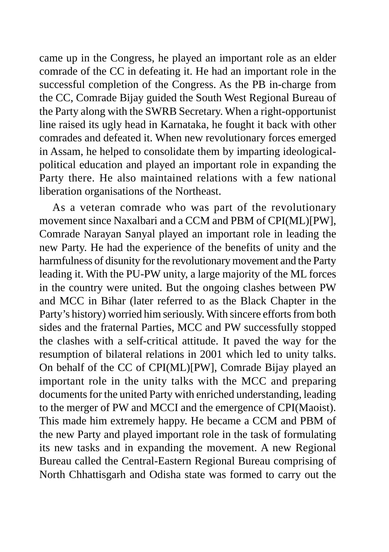came up in the Congress, he played an important role as an elder comrade of the CC in defeating it. He had an important role in the successful completion of the Congress. As the PB in-charge from the CC, Comrade Bijay guided the South West Regional Bureau of the Party along with the SWRB Secretary. When a right-opportunist line raised its ugly head in Karnataka, he fought it back with other comrades and defeated it. When new revolutionary forces emerged in Assam, he helped to consolidate them by imparting ideologicalpolitical education and played an important role in expanding the Party there. He also maintained relations with a few national liberation organisations of the Northeast.

As a veteran comrade who was part of the revolutionary movement since Naxalbari and a CCM and PBM of CPI(ML)[PW], Comrade Narayan Sanyal played an important role in leading the new Party. He had the experience of the benefits of unity and the harmfulness of disunity for the revolutionary movement and the Party leading it. With the PU-PW unity, a large majority of the ML forces in the country were united. But the ongoing clashes between PW and MCC in Bihar (later referred to as the Black Chapter in the Party's history) worried him seriously. With sincere efforts from both sides and the fraternal Parties, MCC and PW successfully stopped the clashes with a self-critical attitude. It paved the way for the resumption of bilateral relations in 2001 which led to unity talks. On behalf of the CC of CPI(ML)[PW], Comrade Bijay played an important role in the unity talks with the MCC and preparing documents for the united Party with enriched understanding, leading to the merger of PW and MCCI and the emergence of CPI(Maoist). This made him extremely happy. He became a CCM and PBM of the new Party and played important role in the task of formulating its new tasks and in expanding the movement. A new Regional Bureau called the Central-Eastern Regional Bureau comprising of North Chhattisgarh and Odisha state was formed to carry out the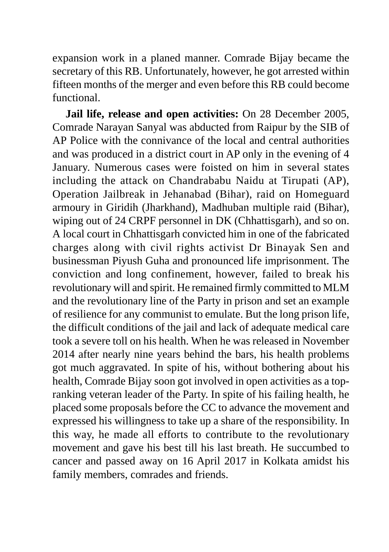expansion work in a planed manner. Comrade Bijay became the secretary of this RB. Unfortunately, however, he got arrested within fifteen months of the merger and even before this RB could become functional.

**Jail life, release and open activities:** On 28 December 2005, Comrade Narayan Sanyal was abducted from Raipur by the SIB of AP Police with the connivance of the local and central authorities and was produced in a district court in AP only in the evening of 4 January. Numerous cases were foisted on him in several states including the attack on Chandrababu Naidu at Tirupati (AP), Operation Jailbreak in Jehanabad (Bihar), raid on Homeguard armoury in Giridih (Jharkhand), Madhuban multiple raid (Bihar), wiping out of 24 CRPF personnel in DK (Chhattisgarh), and so on. A local court in Chhattisgarh convicted him in one of the fabricated charges along with civil rights activist Dr Binayak Sen and businessman Piyush Guha and pronounced life imprisonment. The conviction and long confinement, however, failed to break his revolutionary will and spirit. He remained firmly committed to MLM and the revolutionary line of the Party in prison and set an example of resilience for any communist to emulate. But the long prison life, the difficult conditions of the jail and lack of adequate medical care took a severe toll on his health. When he was released in November 2014 after nearly nine years behind the bars, his health problems got much aggravated. In spite of his, without bothering about his health, Comrade Bijay soon got involved in open activities as a topranking veteran leader of the Party. In spite of his failing health, he placed some proposals before the CC to advance the movement and expressed his willingness to take up a share of the responsibility. In this way, he made all efforts to contribute to the revolutionary movement and gave his best till his last breath. He succumbed to cancer and passed away on 16 April 2017 in Kolkata amidst his family members, comrades and friends.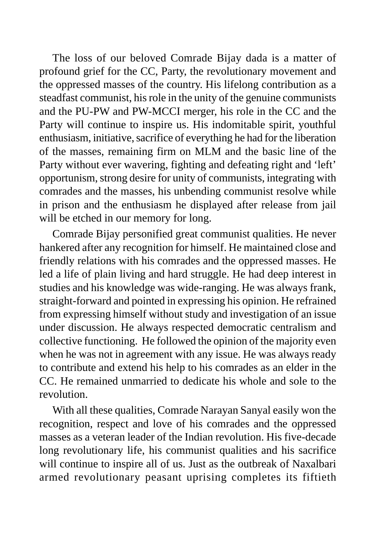The loss of our beloved Comrade Bijay dada is a matter of profound grief for the CC, Party, the revolutionary movement and the oppressed masses of the country. His lifelong contribution as a steadfast communist, his role in the unity of the genuine communists and the PU-PW and PW-MCCI merger, his role in the CC and the Party will continue to inspire us. His indomitable spirit, youthful enthusiasm, initiative, sacrifice of everything he had for the liberation of the masses, remaining firm on MLM and the basic line of the Party without ever wavering, fighting and defeating right and 'left' opportunism, strong desire for unity of communists, integrating with comrades and the masses, his unbending communist resolve while in prison and the enthusiasm he displayed after release from jail will be etched in our memory for long.

Comrade Bijay personified great communist qualities. He never hankered after any recognition for himself. He maintained close and friendly relations with his comrades and the oppressed masses. He led a life of plain living and hard struggle. He had deep interest in studies and his knowledge was wide-ranging. He was always frank, straight-forward and pointed in expressing his opinion. He refrained from expressing himself without study and investigation of an issue under discussion. He always respected democratic centralism and collective functioning. He followed the opinion of the majority even when he was not in agreement with any issue. He was always ready to contribute and extend his help to his comrades as an elder in the CC. He remained unmarried to dedicate his whole and sole to the revolution.

With all these qualities, Comrade Narayan Sanyal easily won the recognition, respect and love of his comrades and the oppressed masses as a veteran leader of the Indian revolution. His five-decade long revolutionary life, his communist qualities and his sacrifice will continue to inspire all of us. Just as the outbreak of Naxalbari armed revolutionary peasant uprising completes its fiftieth